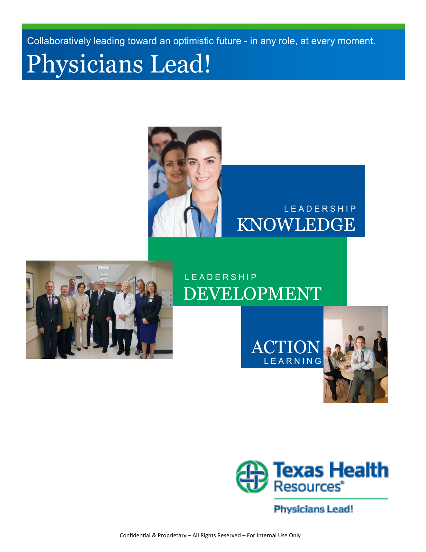Collaboratively leading toward an optimistic future - in any role, at every moment.

# Physicians Lead!



### KNOWLEDGE L E A D E R S H I P



### L E A D E R S H I P DEVELOPMENT

L E A R N I N G ACTION





**Physicians Lead!**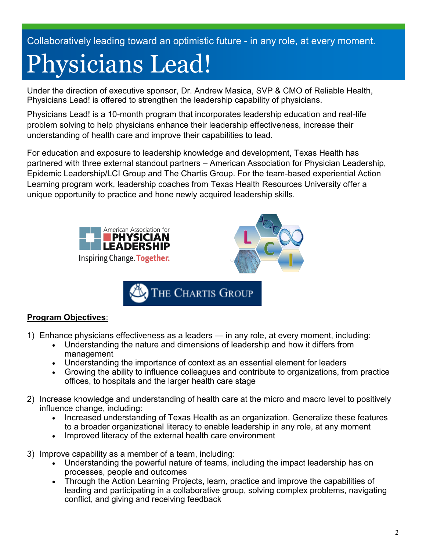Collaboratively leading toward an optimistic future - in any role, at every moment.

# Physicians Lead!

Under the direction of executive sponsor, Dr. Andrew Masica, SVP & CMO of Reliable Health, Physicians Lead! is offered to strengthen the leadership capability of physicians.

Physicians Lead! is a 10-month program that incorporates leadership education and real-life problem solving to help physicians enhance their leadership effectiveness, increase their understanding of health care and improve their capabilities to lead.

For education and exposure to leadership knowledge and development, Texas Health has partnered with three external standout partners – American Association for Physician Leadership, Epidemic Leadership/LCI Group and The Chartis Group. For the team-based experiential Action Learning program work, leadership coaches from Texas Health Resources University offer a unique opportunity to practice and hone newly acquired leadership skills.



#### **Program Objectives**:

- 1) Enhance physicians effectiveness as a leaders in any role, at every moment, including:
	- Understanding the nature and dimensions of leadership and how it differs from management
	- Understanding the importance of context as an essential element for leaders
	- Growing the ability to influence colleagues and contribute to organizations, from practice offices, to hospitals and the larger health care stage
- 2) Increase knowledge and understanding of health care at the micro and macro level to positively influence change, including:
	- Increased understanding of Texas Health as an organization. Generalize these features to a broader organizational literacy to enable leadership in any role, at any moment
	- Improved literacy of the external health care environment
- 3) Improve capability as a member of a team, including:
	- Understanding the powerful nature of teams, including the impact leadership has on processes, people and outcomes
	- Through the Action Learning Projects, learn, practice and improve the capabilities of leading and participating in a collaborative group, solving complex problems, navigating conflict, and giving and receiving feedback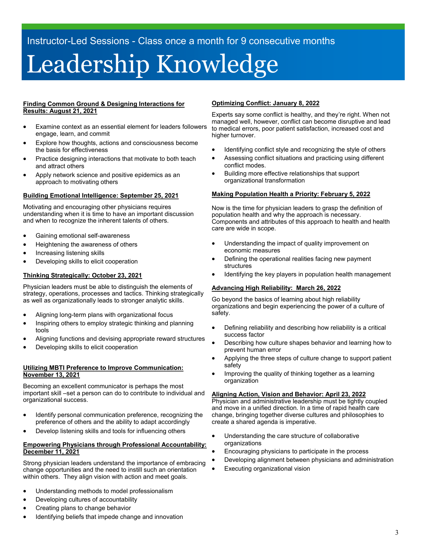# Leadership Knowledge

#### **Finding Common Ground & Designing Interactions for Results: August 21, 2021**

- Examine context as an essential element for leaders followers engage, learn, and commit
- Explore how thoughts, actions and consciousness become the basis for effectiveness
- Practice designing interactions that motivate to both teach and attract others
- Apply network science and positive epidemics as an approach to motivating others

#### **Building Emotional Intelligence: September 25, 2021**

Motivating and encouraging other physicians requires understanding when it is time to have an important discussion and when to recognize the inherent talents of others.

- Gaining emotional self-awareness
- Heightening the awareness of others
- Increasing listening skills
- Developing skills to elicit cooperation

#### **Thinking Strategically: October 23, 2021**

Physician leaders must be able to distinguish the elements of strategy, operations, processes and tactics. Thinking strategically as well as organizationally leads to stronger analytic skills.

- Aligning long-term plans with organizational focus
- Inspiring others to employ strategic thinking and planning tools
- Aligning functions and devising appropriate reward structures
- Developing skills to elicit cooperation

#### **Utilizing MBTI Preference to Improve Communication: November 13, 2021**

Becoming an excellent communicator is perhaps the most important skill –set a person can do to contribute to individual and organizational success.

- Identify personal communication preference, recognizing the preference of others and the ability to adapt accordingly
- Develop listening skills and tools for influencing others

#### **Empowering Physicians through Professional Accountability: December 11, 2021**

Strong physician leaders understand the importance of embracing change opportunities and the need to instill such an orientation within others. They align vision with action and meet goals.

- Understanding methods to model professionalism
- Developing cultures of accountability
- Creating plans to change behavior
- Identifying beliefs that impede change and innovation

#### **Optimizing Conflict: January 8, 2022**

Experts say some conflict is healthy, and they're right. When not managed well, however, conflict can become disruptive and lead to medical errors, poor patient satisfaction, increased cost and higher turnover.

- Identifying conflict style and recognizing the style of others
- Assessing conflict situations and practicing using different conflict modes.
- Building more effective relationships that support organizational transformation

#### **Making Population Health a Priority: February 5, 2022**

Now is the time for physician leaders to grasp the definition of population health and why the approach is necessary. Components and attributes of this approach to health and health care are wide in scope.

- Understanding the impact of quality improvement on economic measures
- Defining the operational realities facing new payment structures
- Identifying the key players in population health management

#### **Advancing High Reliability: March 26, 2022**

Go beyond the basics of learning about high reliability organizations and begin experiencing the power of a culture of safety.

- Defining reliability and describing how reliability is a critical success factor
- Describing how culture shapes behavior and learning how to prevent human error
- Applying the three steps of culture change to support patient safety
- Improving the quality of thinking together as a learning organization

#### **Aligning Action, Vision and Behavior: April 23, 2022**

Physician and administrative leadership must be tightly coupled and move in a unified direction. In a time of rapid health care change, bringing together diverse cultures and philosophies to create a shared agenda is imperative.

- Understanding the care structure of collaborative organizations
- Encouraging physicians to participate in the process
- Developing alignment between physicians and administration
- Executing organizational vision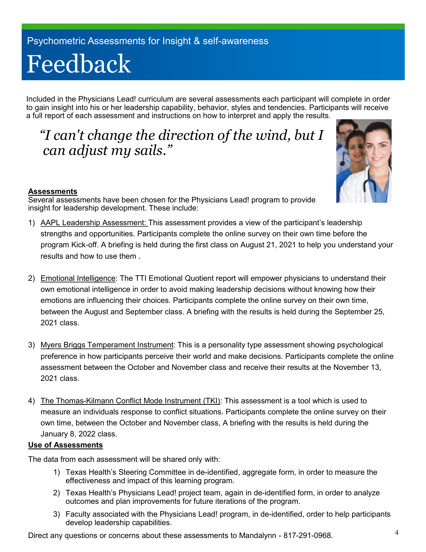# Feedback

Included in the Physicians Lead! curriculum are several assessments each participant will complete in order to gain insight into his or her leadership capability, behavior, styles and tendencies. Participants will receive a full report of each assessment and instructions on how to interpret and apply the results.

### *"I can't change the direction of the wind, but I can adjust my sails."*



#### **Assessments**

Several assessments have been chosen for the Physicians Lead! program to provide insight for leadership development. These include:

- 1) AAPL Leadership Assessment: This assessment provides a view of the participant's leadership strengths and opportunities. Participants complete the online survey on their own time before the program Kick-off. A briefing is held during the first class on August 21, 2021 to help you understand your results and how to use them .
- 2) Emotional Intelligence: The TTI Emotional Quotient report will empower physicians to understand their own emotional intelligence in order to avoid making leadership decisions without knowing how their emotions are influencing their choices. Participants complete the online survey on their own time, between the August and September class. A briefing with the results is held during the September 25, 2021 class.
- 3) Myers Briggs Temperament Instrument: This is a personality type assessment showing psychological preference in how participants perceive their world and make decisions. Participants complete the online assessment between the October and November class and receive their results at the November 13, 2021 class.
- 4) The Thomas-Kilmann Conflict Mode Instrument (TKI): This assessment is a tool which is used to measure an individuals response to conflict situations. Participants complete the online survey on their own time, between the October and November class, A briefing with the results is held during the January 8, 2022 class.

#### **Use of Assessments**

The data from each assessment will be shared only with:

- 1) Texas Health's Steering Committee in de-identified, aggregate form, in order to measure the effectiveness and impact of this learning program.
- 2) Texas Health's Physicians Lead! project team, again in de-identified form, in order to analyze outcomes and plan improvements for future iterations of the program.
- 3) Faculty associated with the Physicians Lead! program, in de-identified, order to help participants develop leadership capabilities.

Direct any questions or concerns about these assessments to Mandalynn - 817-291-0968.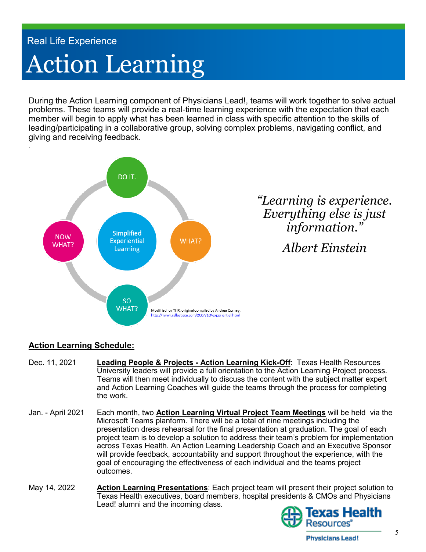## Action Learning Real Life Experience

During the Action Learning component of Physicians Lead!, teams will work together to solve actual problems. These teams will provide a real-time learning experience with the expectation that each member will begin to apply what has been learned in class with specific attention to the skills of leading/participating in a collaborative group, solving complex problems, navigating conflict, and giving and receiving feedback.



#### **Action Learning Schedule:**

- Dec. 11, 2021 **Leading People & Projects - Action Learning Kick-Off**: Texas Health Resources University leaders will provide a full orientation to the Action Learning Project process. Teams will then meet individually to discuss the content with the subject matter expert and Action Learning Coaches will guide the teams through the process for completing the work.
- Jan. April 2021 Each month, two **Action Learning Virtual Project Team Meetings** will be held via the Microsoft Teams planform. There will be a total of nine meetings including the presentation dress rehearsal for the final presentation at graduation. The goal of each project team is to develop a solution to address their team's problem for implementation across Texas Health. An Action Learning Leadership Coach and an Executive Sponsor will provide feedback, accountability and support throughout the experience, with the goal of encouraging the effectiveness of each individual and the teams project outcomes.
- May 14, 2022 **Action Learning Presentations**: Each project team will present their project solution to Texas Health executives, board members, hospital presidents & CMOs and Physicians Lead! alumni and the incoming class.

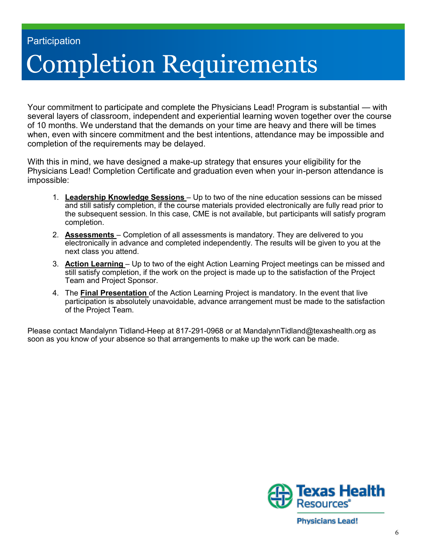## Completion Requirements **Participation**

Your commitment to participate and complete the Physicians Lead! Program is substantial — with several layers of classroom, independent and experiential learning woven together over the course of 10 months. We understand that the demands on your time are heavy and there will be times when, even with sincere commitment and the best intentions, attendance may be impossible and completion of the requirements may be delayed.

With this in mind, we have designed a make-up strategy that ensures your eligibility for the Physicians Lead! Completion Certificate and graduation even when your in-person attendance is impossible:

- 1. **Leadership Knowledge Sessions**  Up to two of the nine education sessions can be missed and still satisfy completion, if the course materials provided electronically are fully read prior to the subsequent session. In this case, CME is not available, but participants will satisfy program completion.
- 2. **Assessments**  Completion of all assessments is mandatory. They are delivered to you electronically in advance and completed independently. The results will be given to you at the next class you attend.
- 3. **Action Learning**  Up to two of the eight Action Learning Project meetings can be missed and still satisfy completion, if the work on the project is made up to the satisfaction of the Project Team and Project Sponsor.
- 4. The **Final Presentation** of the Action Learning Project is mandatory. In the event that live participation is absolutely unavoidable, advance arrangement must be made to the satisfaction of the Project Team.

Please contact Mandalynn Tidland-Heep at 817-291-0968 or at MandalynnTidland@texashealth.org as soon as you know of your absence so that arrangements to make up the work can be made.



**Physicians Lead!**